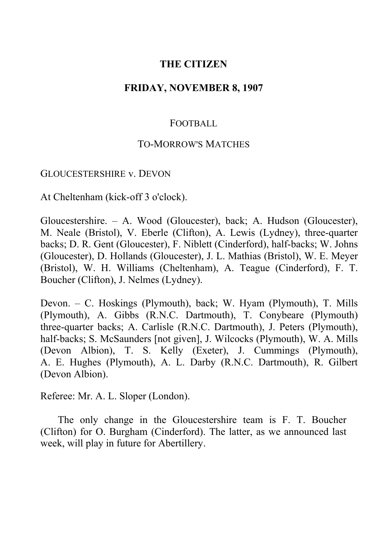# **THE CITIZEN**

## **FRIDAY, NOVEMBER 8, 1907**

## FOOTBALL

### TO-MORROW'S MATCHES

#### GLOUCESTERSHIRE v. DEVON

At Cheltenham (kick-off 3 o'clock).

Gloucestershire. ‒ A. Wood (Gloucester), back; A. Hudson (Gloucester), M. Neale (Bristol), V. Eberle (Clifton), A. Lewis (Lydney), three-quarter backs; D. R. Gent (Gloucester), F. Niblett (Cinderford), half-backs; W. Johns (Gloucester), D. Hollands (Gloucester), J. L. Mathias (Bristol), W. E. Meyer (Bristol), W. H. Williams (Cheltenham), A. Teague (Cinderford), F. T. Boucher (Clifton), J. Nelmes (Lydney).

Devon. ‒ C. Hoskings (Plymouth), back; W. Hyam (Plymouth), T. Mills (Plymouth), A. Gibbs (R.N.C. Dartmouth), T. Conybeare (Plymouth) three-quarter backs; A. Carlisle (R.N.C. Dartmouth), J. Peters (Plymouth), half-backs; S. McSaunders [not given], J. Wilcocks (Plymouth), W. A. Mills (Devon Albion), T. S. Kelly (Exeter), J. Cummings (Plymouth), A. E. Hughes (Plymouth), A. L. Darby (R.N.C. Dartmouth), R. Gilbert (Devon Albion).

Referee: Mr. A. L. Sloper (London).

The only change in the Gloucestershire team is F. T. Boucher (Clifton) for O. Burgham (Cinderford). The latter, as we announced last week, will play in future for Abertillery.